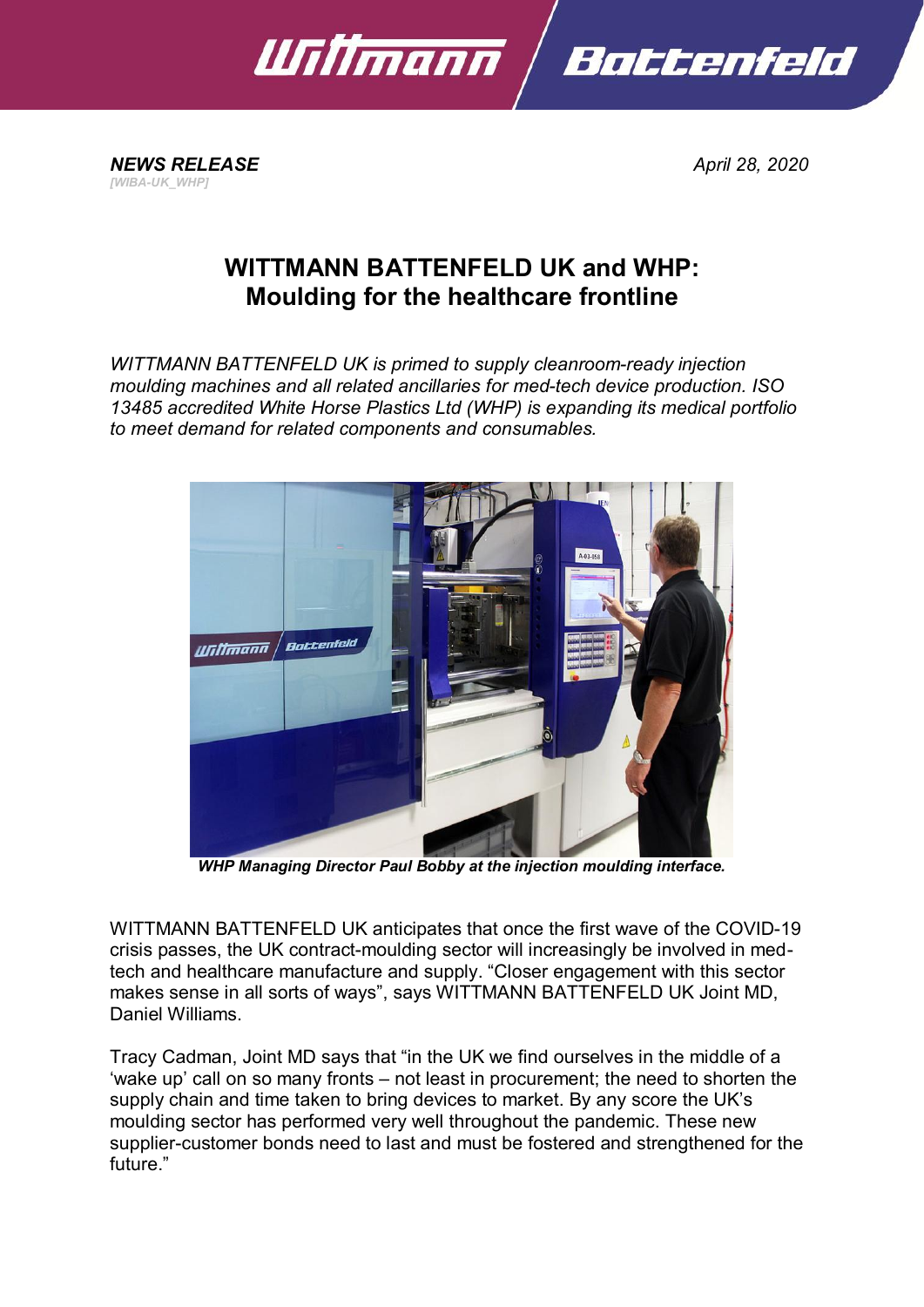

*NEWS RELEASE April 28, 2020 [WIBA-UK\_WHP]*

## **WITTMANN BATTENFELD UK and WHP: Moulding for the healthcare frontline**

*WITTMANN BATTENFELD UK is primed to supply cleanroom-ready injection moulding machines and all related ancillaries for med-tech device production. ISO 13485 accredited White Horse Plastics Ltd (WHP) is expanding its medical portfolio to meet demand for related components and consumables.*



*WHP Managing Director Paul Bobby at the injection moulding interface.*

WITTMANN BATTENFELD UK anticipates that once the first wave of the COVID-19 crisis passes, the UK contract-moulding sector will increasingly be involved in medtech and healthcare manufacture and supply. "Closer engagement with this sector makes sense in all sorts of ways", says WITTMANN BATTENFELD UK Joint MD, Daniel Williams.

Tracy Cadman, Joint MD says that "in the UK we find ourselves in the middle of a 'wake up' call on so many fronts – not least in procurement; the need to shorten the supply chain and time taken to bring devices to market. By any score the UK's moulding sector has performed very well throughout the pandemic. These new supplier-customer bonds need to last and must be fostered and strengthened for the future."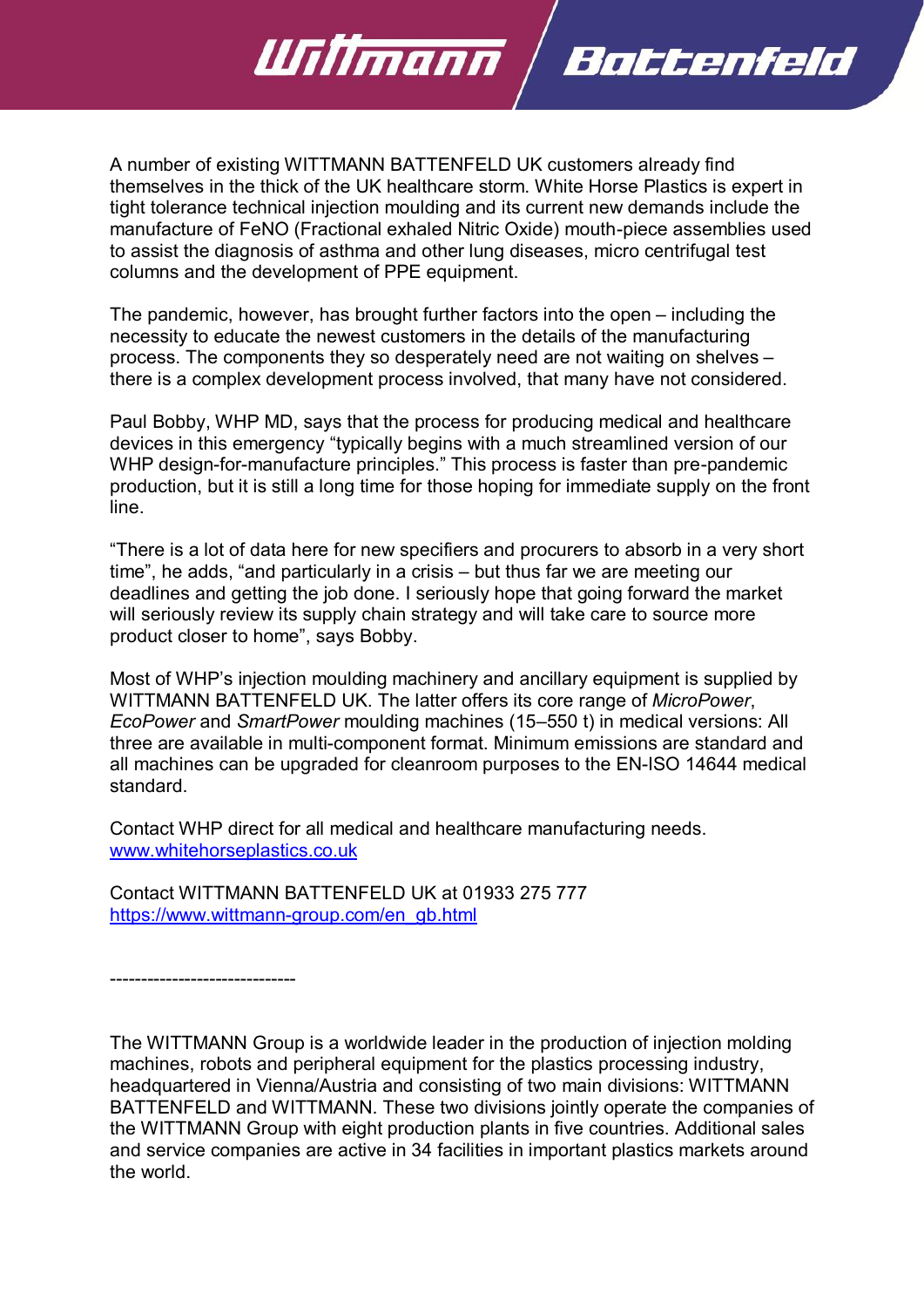A number of existing WITTMANN BATTENFELD UK customers already find themselves in the thick of the UK healthcare storm. White Horse Plastics is expert in tight tolerance technical injection moulding and its current new demands include the manufacture of FeNO (Fractional exhaled Nitric Oxide) mouth-piece assemblies used to assist the diagnosis of asthma and other lung diseases, micro centrifugal test columns and the development of PPE equipment.

Bottenfeld

<u> UTilimann</u>

The pandemic, however, has brought further factors into the open – including the necessity to educate the newest customers in the details of the manufacturing process. The components they so desperately need are not waiting on shelves – there is a complex development process involved, that many have not considered.

Paul Bobby, WHP MD, says that the process for producing medical and healthcare devices in this emergency "typically begins with a much streamlined version of our WHP design-for-manufacture principles." This process is faster than pre-pandemic production, but it is still a long time for those hoping for immediate supply on the front line.

"There is a lot of data here for new specifiers and procurers to absorb in a very short time", he adds, "and particularly in a crisis – but thus far we are meeting our deadlines and getting the job done. I seriously hope that going forward the market will seriously review its supply chain strategy and will take care to source more product closer to home", says Bobby.

Most of WHP's injection moulding machinery and ancillary equipment is supplied by WITTMANN BATTENFELD UK. The latter offers its core range of *MicroPower*, *EcoPower* and *SmartPower* moulding machines (15–550 t) in medical versions: All three are available in multi-component format. Minimum emissions are standard and all machines can be upgraded for cleanroom purposes to the EN-ISO 14644 medical standard.

Contact WHP direct for all medical and healthcare manufacturing needs. [www.whitehorseplastics.co.uk](http://www.whitehorseplastics.co.uk/)

Contact WITTMANN BATTENFELD UK at 01933 275 777 [https://www.wittmann-group.com/en\\_gb.html](https://www.wittmann-group.com/en_gb.html)

------------------------------

The WITTMANN Group is a worldwide leader in the production of injection molding machines, robots and peripheral equipment for the plastics processing industry, headquartered in Vienna/Austria and consisting of two main divisions: WITTMANN BATTENFELD and WITTMANN. These two divisions jointly operate the companies of the WITTMANN Group with eight production plants in five countries. Additional sales and service companies are active in 34 facilities in important plastics markets around the world.